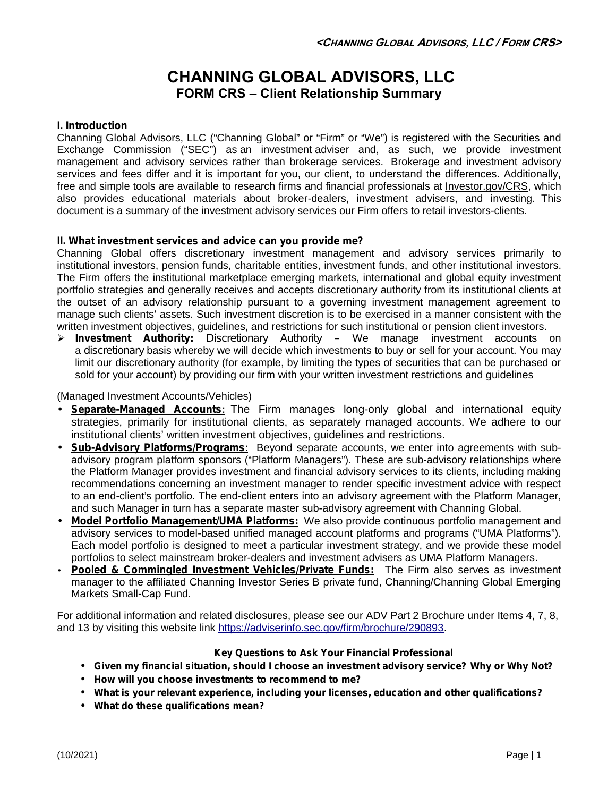# **CHANNING GLOBAL ADVISORS, LLC FORM CRS –Client Relationship Summary**

## **I. Introduction**

Channing Global Advisors, LLC ("Channing Global" or "Firm" or "We") is registered with the Securities and Exchange Commission ("SEC") as an investment adviser and, as such, we provide investment management and advisory services rather than brokerage services. Brokerage and investment advisory services and fees differ and it is important for you, our client, to understand the differences. Additionally, free and simple tools are available to research firms and financial professionals at Investor.gov/CRS, which also provides educational materials about broker-dealers, investment advisers, and investing. This document is a summary of the investment advisory services our Firm offers to retail investors-clients.

## **II. What investment services and advice can you provide me?**

Channing Global offers discretionary investment management and advisory services primarily to institutional investors, pension funds, charitable entities, investment funds, and other institutional investors. The Firm offers the institutional marketplace emerging markets, international and global equity investment portfolio strategies and generally receives and accepts discretionary authority from its institutional clients at the outset of an advisory relationship pursuant to a governing investment management agreement to manage such clients' assets. Such investment discretion is to be exercised in a manner consistent with the written investment objectives, guidelines, and restrictions for such institutional or pension client investors.

 *Investment Authority: Discretionary Authority –* We manage investment accounts on a *discretionary* basis whereby we will decide which investments to buy or sell for your account. You may limit our discretionary authority (for example, by limiting the types of securities that can be purchased or sold for your account) by providing our firm with your written investment restrictions and guidelines

## (Managed Investment Accounts/Vehicles)

- **Separate-Managed Accounts***:* The Firm manages long-only global and international equity strategies, primarily for institutional clients, as separately managed accounts. We adhere to our institutional clients' written investment objectives, guidelines and restrictions.
- **Sub-Advisory Platforms/Programs***:* Beyond separate accounts, we enter into agreements with sub advisory program platform sponsors ("Platform Managers"). These are sub-advisory relationships where the Platform Manager provides investment and financial advisory services to its clients, including making recommendations concerning an investment manager to render specific investment advice with respect to an end-client's portfolio. The end-client enters into an advisory agreement with the Platform Manager, and such Manager in turn has a separate master sub-advisory agreement with Channing Global.
- **Model Portfolio Management/UMA Platforms:** We also provide continuous portfolio management and advisory services to model-based unified managed account platforms and programs ("UMA Platforms"). Each model portfolio is designed to meet a particular investment strategy, and we provide these model portfolios to select mainstream broker-dealers and investment advisers as UMA Platform Managers.
- **Pooled & Commingled Investment Vehicles/Private Funds:** The Firm also serves as investment manager to the affiliated Channing Investor Series B private fund, Channing/Channing Global Emerging Markets Small-Cap Fund.

For additional information and related disclosures, please see our ADV Part 2 Brochure under Items 4, 7, 8, and 13 by visiting this website link https://adviserinfo.sec.gov/firm/brochure/290893.

## **Key Questions to Ask Your Financial Professional**

- **Given my financial situation, should I choose an investment advisory service? Why or Why Not?**
- **How will you choose investments to recommend to me?**
- **What is your relevant experience, including your licenses, education and other qualifications?**
- **What do these qualifications mean?**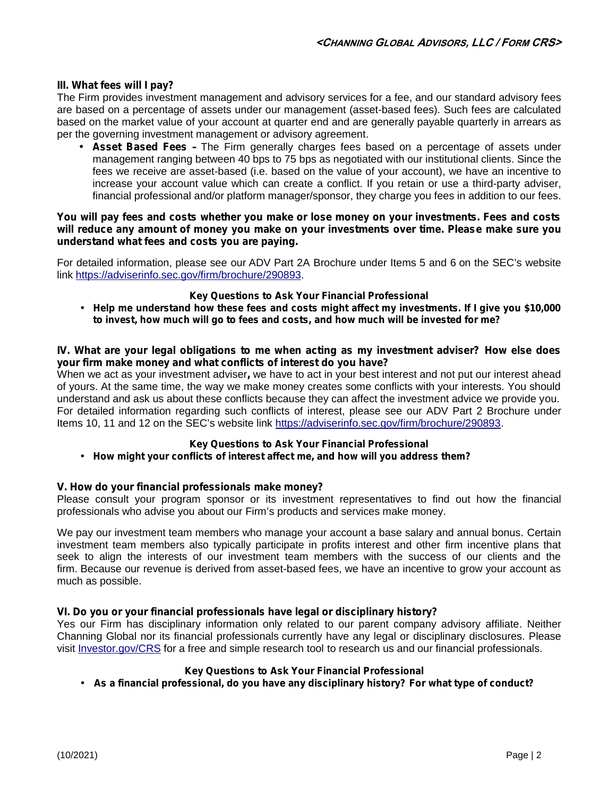## **III. What fees will I pay?**

The Firm provides investment management and advisory services for a fee, and our standard advisory fees are based on a percentage of assets under our management (asset-based fees). Such fees are calculated based on the market value of your account at quarter end and are generally payable quarterly in arrears as per the governing investment management or advisory agreement.

 **Asset Based Fees –** The Firm generally charges fees based on a percentage of assets under management ranging between 40 bps to 75 bps as negotiated with our institutional clients. Since the fees we receive are asset-based (i.e. based on the value of your account), we have an incentive to increase your account value which can create a conflict. If you retain or use a third-party adviser, financial professional and/or platform manager/sponsor, they charge you fees in addition to our fees.

#### *You will pay fees and costs whether you make or lose money on your investments. Fees and costs will reduce any amount of money you make on your investments over time. Please make sure you understand what fees and costs you are paying.*

For detailed information, please see our ADV Part 2A Brochure under Items 5 and 6 on the SEC's website link https://adviserinfo.sec.gov/firm/brochure/290893.

#### **Key Questions to Ask Your Financial Professional**

 **Help me understand how these fees and costs might affect my investments. If I give you \$10,000 to invest, how much will go to fees and costs, and how much will be invested for me?**

#### **IV. What are your legal obligations to me when acting as my investment adviser? How else does your firm make money and what conflicts of interest do you have?**

When we act as your investment adviser**,** we have to act in your best interest and not put our interest ahead of yours. At the same time, the way we make money creates some conflicts with your interests. You should understand and ask us about these conflicts because they can affect the investment advice we provide you. For detailed information regarding such conflicts of interest, please see our ADV Part 2 Brochure under Items 10, 11 and 12 on the SEC's website link https://adviserinfo.sec.gov/firm/brochure/290893.

## **Key Questions to Ask Your Financial Professional**

## **How might your conflicts of interest affect me, and how will you address them?**

## **V. How do your financial professionals make money?**

Please consult your program sponsor or its investment representatives to find out how the financial professionals who advise you about our Firm's products and services make money.

We pay our investment team members who manage your account a base salary and annual bonus. Certain investment team members also typically participate in profits interest and other firm incentive plans that seek to align the interests of our investment team members with the success of our clients and the firm. Because our revenue is derived from asset-based fees, we have an incentive to grow your account as much as possible.

## **VI. Do you or your financial professionals have legal or disciplinary history?**

Yes our Firm has disciplinary information only related to our parent company advisory affiliate. Neither Channing Global nor its financial professionals currently have any legal or disciplinary disclosures. Please visit Investor.gov/CRS for a free and simple research tool to research us and our financial professionals.

## **Key Questions to Ask Your Financial Professional**

**As a financial professional, do you have any disciplinary history? For what type of conduct?**